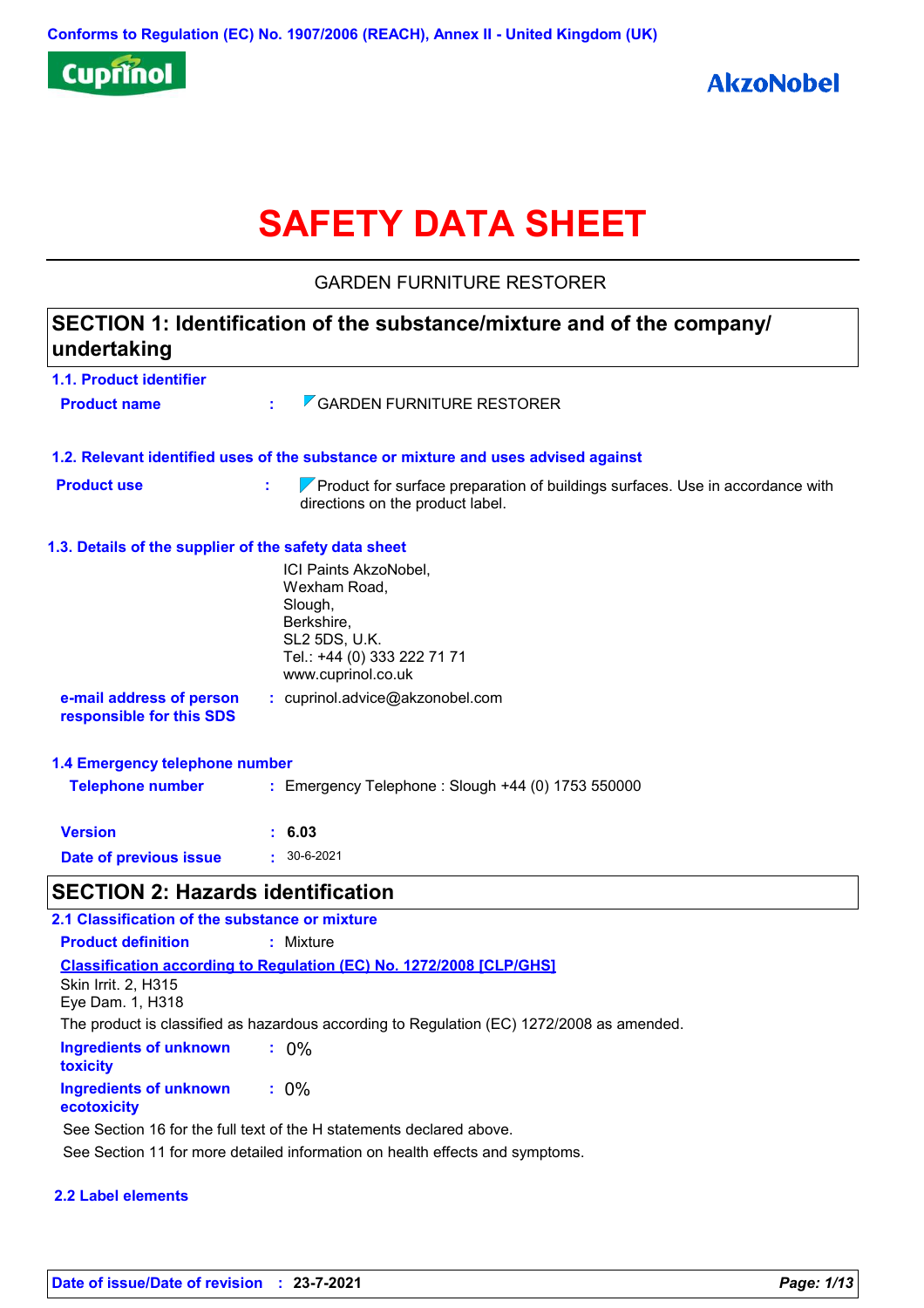

# **SAFETY DATA SHEET**

GARDEN FURNITURE RESTORER

## **1.1. Product identifier 1.3. Details of the supplier of the safety data sheet 1.2. Relevant identified uses of the substance or mixture and uses advised against SECTION 1: Identification of the substance/mixture and of the company/ undertaking Date of previous issue :** 30-6-2021 ICI Paints AkzoNobel, Wexham Road, Slough, Berkshire, SL2 5DS, U.K. Tel.: +44 (0) 333 222 71 71 www.cuprinol.co.uk **e-mail address of person responsible for this SDS :** cuprinol.advice@akzonobel.com **1.4 Emergency telephone number Version : 6.03 Product name :** GARDEN FURNITURE RESTORER **Product use <b>EX EXECUTE:** Product for surface preparation of buildings surfaces. Use in accordance with directions on the product label. **Telephone number :** Emergency Telephone : Slough +44 (0) 1753 550000 **SECTION 2: Hazards identification 2.1 Classification of the substance or mixture Product definition :** Mixture

**Ingredients of unknown toxicity :** 0% **Ingredients of unknown ecotoxicity :** 0% **Classification according to Regulation (EC) No. 1272/2008 [CLP/GHS]** Skin Irrit. 2, H315 Eye Dam. 1, H318 The product is classified as hazardous according to Regulation (EC) 1272/2008 as amended. See Section 16 for the full text of the H statements declared above.

See Section 11 for more detailed information on health effects and symptoms.

### **2.2 Label elements**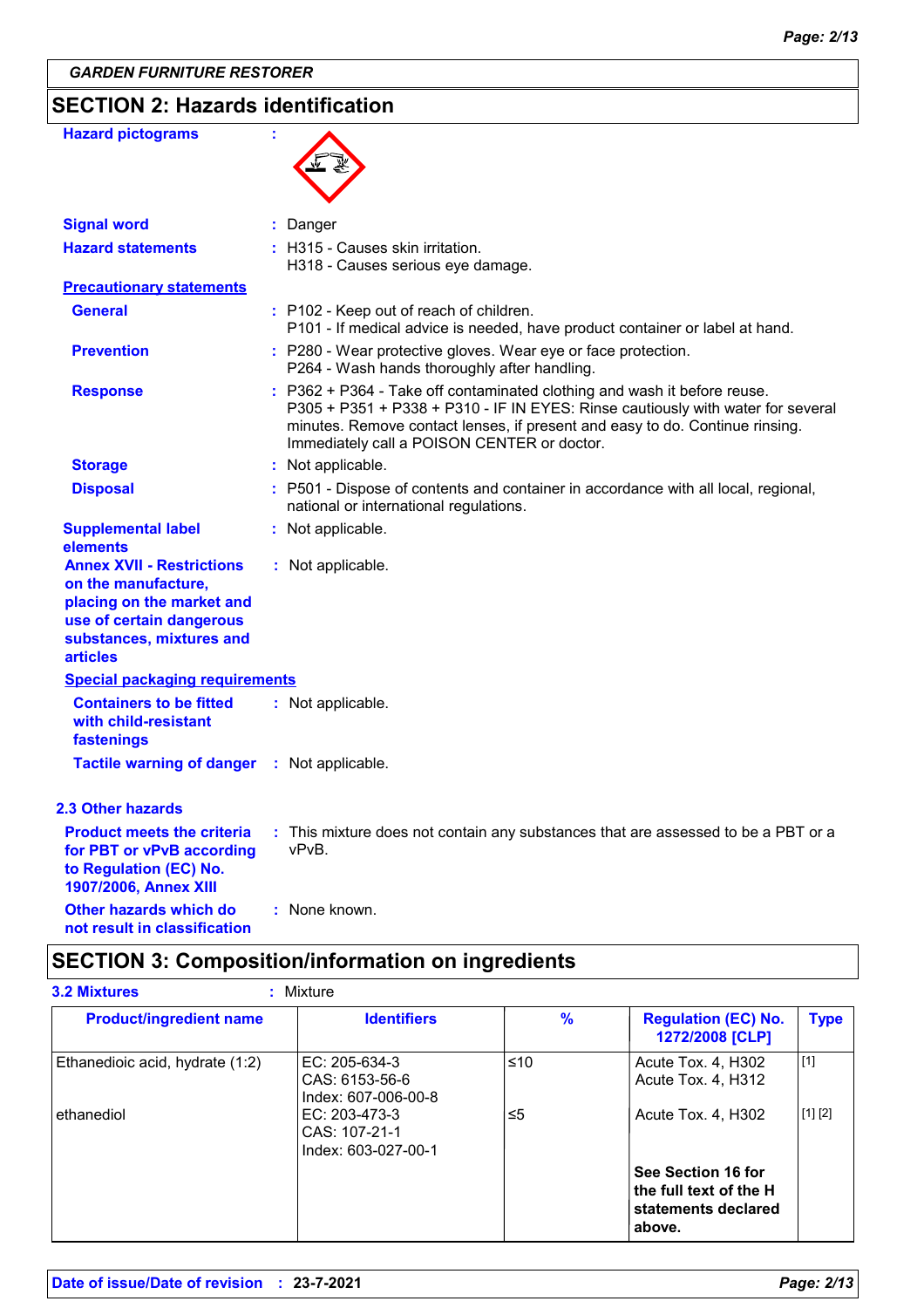# **SECTION 2: Hazards identification**

| <b>Hazard pictograms</b>                                                                                                                                        | ÷                                                                                                                                                                                                                                                                                          |
|-----------------------------------------------------------------------------------------------------------------------------------------------------------------|--------------------------------------------------------------------------------------------------------------------------------------------------------------------------------------------------------------------------------------------------------------------------------------------|
| <b>Signal word</b>                                                                                                                                              | Danger                                                                                                                                                                                                                                                                                     |
| <b>Hazard statements</b>                                                                                                                                        | : H315 - Causes skin irritation.<br>H318 - Causes serious eye damage.                                                                                                                                                                                                                      |
| <b>Precautionary statements</b>                                                                                                                                 |                                                                                                                                                                                                                                                                                            |
| <b>General</b>                                                                                                                                                  | : P102 - Keep out of reach of children.<br>P101 - If medical advice is needed, have product container or label at hand.                                                                                                                                                                    |
| <b>Prevention</b>                                                                                                                                               | : P280 - Wear protective gloves. Wear eye or face protection.<br>P264 - Wash hands thoroughly after handling.                                                                                                                                                                              |
| <b>Response</b>                                                                                                                                                 | : P362 + P364 - Take off contaminated clothing and wash it before reuse.<br>P305 + P351 + P338 + P310 - IF IN EYES: Rinse cautiously with water for several<br>minutes. Remove contact lenses, if present and easy to do. Continue rinsing.<br>Immediately call a POISON CENTER or doctor. |
| <b>Storage</b>                                                                                                                                                  | : Not applicable.                                                                                                                                                                                                                                                                          |
| <b>Disposal</b>                                                                                                                                                 | : P501 - Dispose of contents and container in accordance with all local, regional,<br>national or international regulations.                                                                                                                                                               |
| <b>Supplemental label</b><br>elements                                                                                                                           | : Not applicable.                                                                                                                                                                                                                                                                          |
| <b>Annex XVII - Restrictions</b><br>on the manufacture,<br>placing on the market and<br>use of certain dangerous<br>substances, mixtures and<br><b>articles</b> | : Not applicable.                                                                                                                                                                                                                                                                          |
| <b>Special packaging requirements</b>                                                                                                                           |                                                                                                                                                                                                                                                                                            |
| <b>Containers to be fitted</b><br>with child-resistant<br>fastenings                                                                                            | : Not applicable.                                                                                                                                                                                                                                                                          |
| <b>Tactile warning of danger</b>                                                                                                                                | : Not applicable.                                                                                                                                                                                                                                                                          |
| <b>2.3 Other hazards</b>                                                                                                                                        |                                                                                                                                                                                                                                                                                            |
| <b>Product meets the criteria</b><br>for PBT or vPvB according<br>to Regulation (EC) No.<br>1907/2006, Annex XIII                                               | : This mixture does not contain any substances that are assessed to be a PBT or a<br>vPvB.                                                                                                                                                                                                 |
| Other hazards which do<br>not result in classification                                                                                                          | : None known.                                                                                                                                                                                                                                                                              |

# **SECTION 3: Composition/information on ingredients**

| <b>Product/ingredient name</b>  | <b>Identifiers</b>                                     | $\frac{9}{6}$ | <b>Regulation (EC) No.</b><br>1272/2008 [CLP]                                 | <b>Type</b> |
|---------------------------------|--------------------------------------------------------|---------------|-------------------------------------------------------------------------------|-------------|
| Ethanedioic acid, hydrate (1:2) | EC: 205-634-3<br>CAS: 6153-56-6<br>Index: 607-006-00-8 | ≤10           | Acute Tox. 4, H302<br>Acute Tox. 4, H312                                      | [1]         |
| ethanediol                      | EC: 203-473-3<br>CAS: 107-21-1<br>Index: 603-027-00-1  | ≤5            | Acute Tox. 4, H302                                                            | [1] [2]     |
|                                 |                                                        |               | See Section 16 for<br>the full text of the H<br>statements declared<br>above. |             |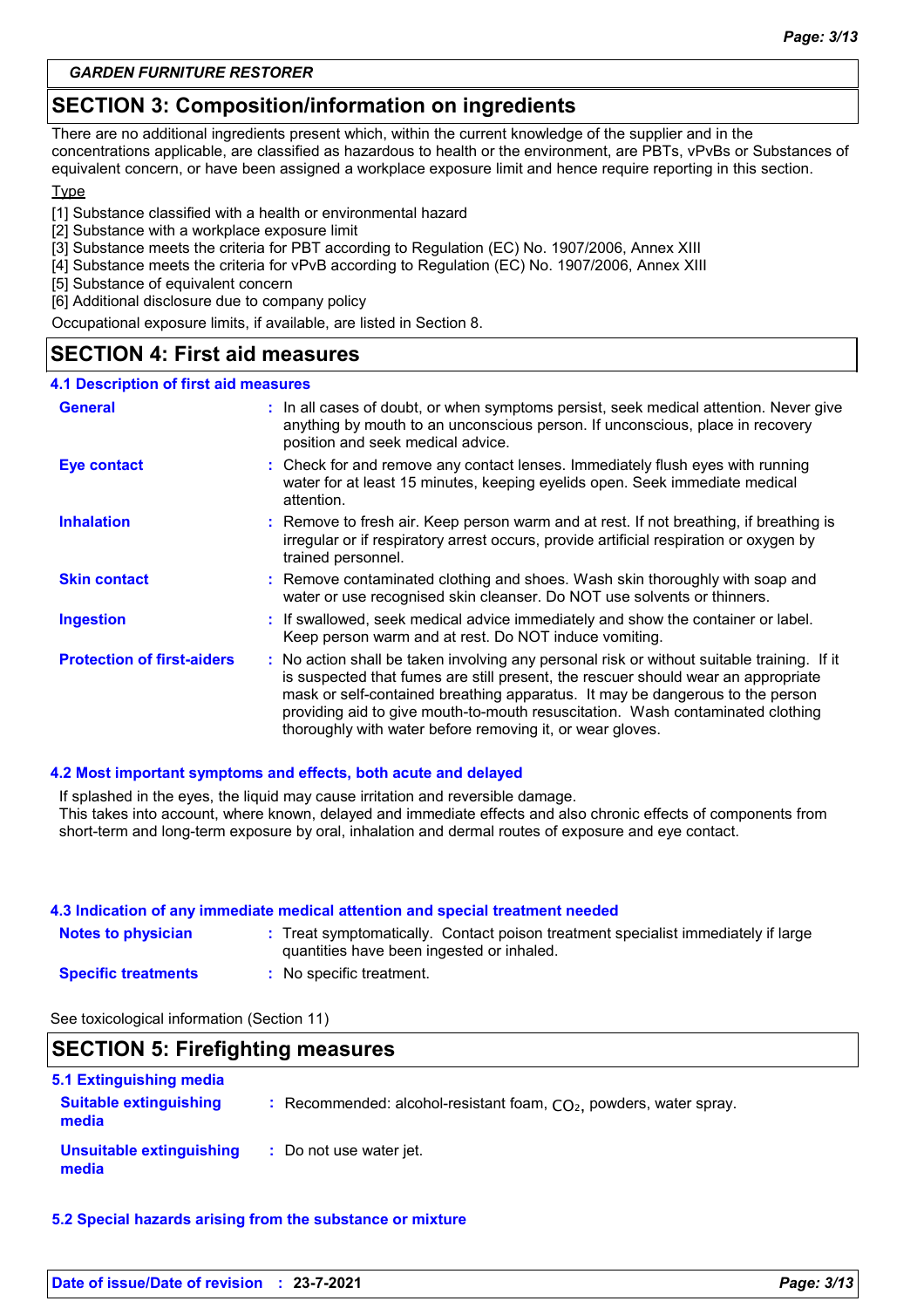### **SECTION 3: Composition/information on ingredients**

There are no additional ingredients present which, within the current knowledge of the supplier and in the concentrations applicable, are classified as hazardous to health or the environment, are PBTs, vPvBs or Substances of equivalent concern, or have been assigned a workplace exposure limit and hence require reporting in this section.

### Type

- [1] Substance classified with a health or environmental hazard
- [2] Substance with a workplace exposure limit
- [3] Substance meets the criteria for PBT according to Regulation (EC) No. 1907/2006, Annex XIII
- [4] Substance meets the criteria for vPvB according to Regulation (EC) No. 1907/2006, Annex XIII
- [5] Substance of equivalent concern
- [6] Additional disclosure due to company policy

Occupational exposure limits, if available, are listed in Section 8.

### **SECTION 4: First aid measures**

#### **4.1 Description of first aid measures**

| <b>General</b>                    | : In all cases of doubt, or when symptoms persist, seek medical attention. Never give<br>anything by mouth to an unconscious person. If unconscious, place in recovery<br>position and seek medical advice.                                                                                                                                                                                                     |  |  |
|-----------------------------------|-----------------------------------------------------------------------------------------------------------------------------------------------------------------------------------------------------------------------------------------------------------------------------------------------------------------------------------------------------------------------------------------------------------------|--|--|
| <b>Eye contact</b>                | : Check for and remove any contact lenses. Immediately flush eyes with running<br>water for at least 15 minutes, keeping eyelids open. Seek immediate medical<br>attention.                                                                                                                                                                                                                                     |  |  |
| <b>Inhalation</b>                 | : Remove to fresh air. Keep person warm and at rest. If not breathing, if breathing is<br>irregular or if respiratory arrest occurs, provide artificial respiration or oxygen by<br>trained personnel.                                                                                                                                                                                                          |  |  |
| <b>Skin contact</b>               | : Remove contaminated clothing and shoes. Wash skin thoroughly with soap and<br>water or use recognised skin cleanser. Do NOT use solvents or thinners.                                                                                                                                                                                                                                                         |  |  |
| <b>Ingestion</b>                  | : If swallowed, seek medical advice immediately and show the container or label.<br>Keep person warm and at rest. Do NOT induce vomiting.                                                                                                                                                                                                                                                                       |  |  |
| <b>Protection of first-aiders</b> | : No action shall be taken involving any personal risk or without suitable training. If it<br>is suspected that fumes are still present, the rescuer should wear an appropriate<br>mask or self-contained breathing apparatus. It may be dangerous to the person<br>providing aid to give mouth-to-mouth resuscitation. Wash contaminated clothing<br>thoroughly with water before removing it, or wear gloves. |  |  |

#### **4.2 Most important symptoms and effects, both acute and delayed**

If splashed in the eyes, the liquid may cause irritation and reversible damage. This takes into account, where known, delayed and immediate effects and also chronic effects of components from short-term and long-term exposure by oral, inhalation and dermal routes of exposure and eye contact.

| 4.3 Indication of any immediate medical attention and special treatment needed |                                                                                                                                |  |  |
|--------------------------------------------------------------------------------|--------------------------------------------------------------------------------------------------------------------------------|--|--|
| <b>Notes to physician</b>                                                      | : Treat symptomatically. Contact poison treatment specialist immediately if large<br>quantities have been ingested or inhaled. |  |  |
| <b>Specific treatments</b>                                                     | : No specific treatment.                                                                                                       |  |  |

See toxicological information (Section 11)

### **SECTION 5: Firefighting measures**

| 5.1 Extinguishing media                |                                                                      |
|----------------------------------------|----------------------------------------------------------------------|
| <b>Suitable extinguishing</b><br>media | : Recommended: alcohol-resistant foam, $CO2$ , powders, water spray. |
| Unsuitable extinguishing<br>media      | : Do not use water jet.                                              |

**5.2 Special hazards arising from the substance or mixture**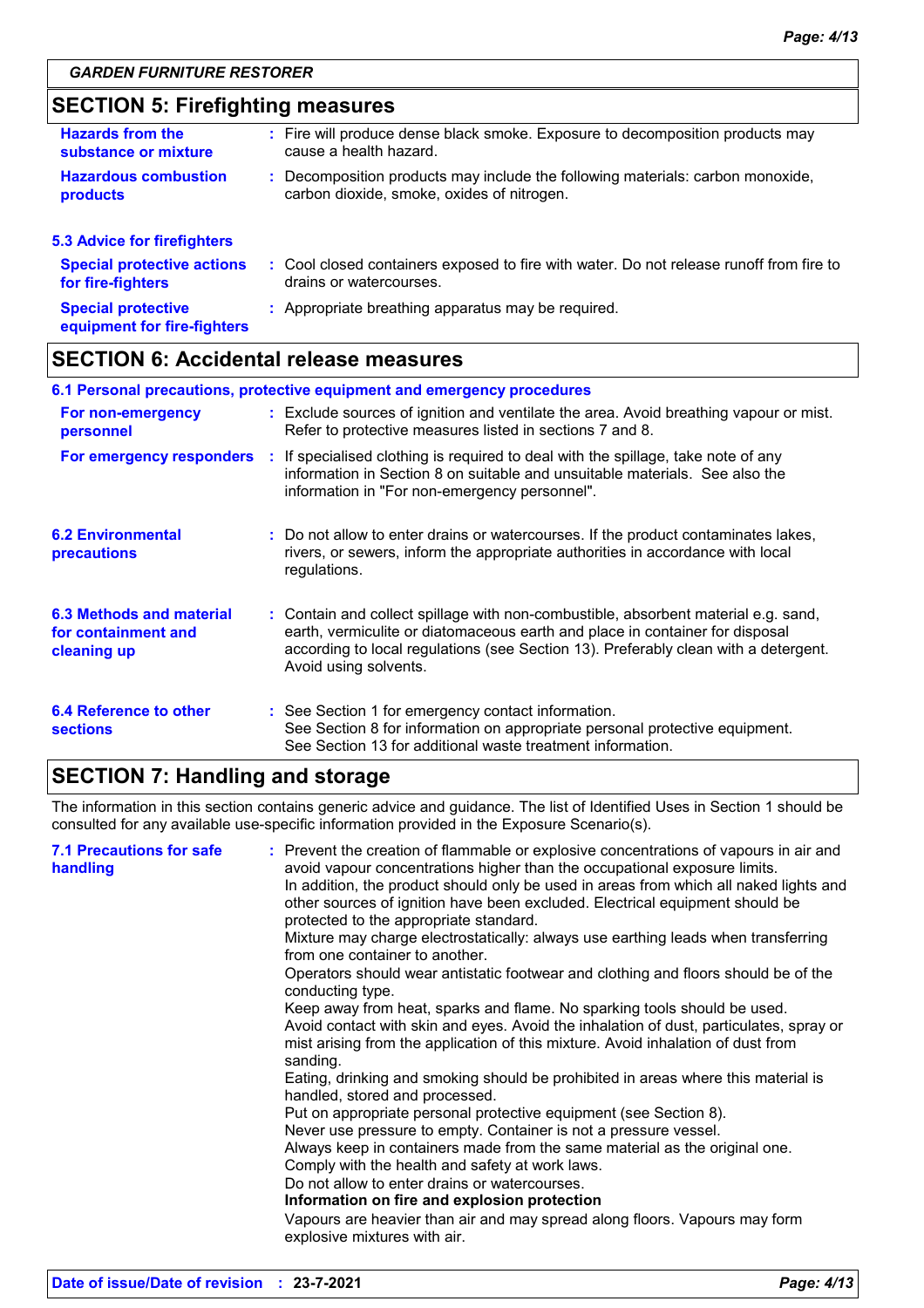### **SECTION 5: Firefighting measures**

| <b>Hazards from the</b><br>substance or mixture        |  | : Fire will produce dense black smoke. Exposure to decomposition products may<br>cause a health hazard.                      |  |
|--------------------------------------------------------|--|------------------------------------------------------------------------------------------------------------------------------|--|
| <b>Hazardous combustion</b><br><b>products</b>         |  | : Decomposition products may include the following materials: carbon monoxide,<br>carbon dioxide, smoke, oxides of nitrogen. |  |
| <b>5.3 Advice for firefighters</b>                     |  |                                                                                                                              |  |
| <b>Special protective actions</b><br>for fire-fighters |  | : Cool closed containers exposed to fire with water. Do not release runoff from fire to<br>drains or watercourses.           |  |
| <b>Special protective</b>                              |  | : Appropriate breathing apparatus may be required.                                                                           |  |

|  | equipment for fire-fighters |  |
|--|-----------------------------|--|

### **SECTION 6: Accidental release measures**

|                                                                | 6.1 Personal precautions, protective equipment and emergency procedures                                                                                                                                                                                                            |
|----------------------------------------------------------------|------------------------------------------------------------------------------------------------------------------------------------------------------------------------------------------------------------------------------------------------------------------------------------|
| For non-emergency<br>personnel                                 | : Exclude sources of ignition and ventilate the area. Avoid breathing vapour or mist.<br>Refer to protective measures listed in sections 7 and 8.                                                                                                                                  |
| For emergency responders                                       | : If specialised clothing is required to deal with the spillage, take note of any<br>information in Section 8 on suitable and unsuitable materials. See also the<br>information in "For non-emergency personnel".                                                                  |
| <b>6.2 Environmental</b><br>precautions                        | : Do not allow to enter drains or watercourses. If the product contaminates lakes,<br>rivers, or sewers, inform the appropriate authorities in accordance with local<br>regulations.                                                                                               |
| 6.3 Methods and material<br>for containment and<br>cleaning up | : Contain and collect spillage with non-combustible, absorbent material e.g. sand,<br>earth, vermiculite or diatomaceous earth and place in container for disposal<br>according to local regulations (see Section 13). Preferably clean with a detergent.<br>Avoid using solvents. |
| 6.4 Reference to other<br><b>sections</b>                      | : See Section 1 for emergency contact information.<br>See Section 8 for information on appropriate personal protective equipment.<br>See Section 13 for additional waste treatment information.                                                                                    |

### **SECTION 7: Handling and storage**

The information in this section contains generic advice and guidance. The list of Identified Uses in Section 1 should be consulted for any available use-specific information provided in the Exposure Scenario(s).

| <b>7.1 Precautions for safe</b><br>handling | : Prevent the creation of flammable or explosive concentrations of vapours in air and<br>avoid vapour concentrations higher than the occupational exposure limits.<br>In addition, the product should only be used in areas from which all naked lights and<br>other sources of ignition have been excluded. Electrical equipment should be<br>protected to the appropriate standard.<br>Mixture may charge electrostatically: always use earthing leads when transferring<br>from one container to another.<br>Operators should wear antistatic footwear and clothing and floors should be of the<br>conducting type.<br>Keep away from heat, sparks and flame. No sparking tools should be used.<br>Avoid contact with skin and eyes. Avoid the inhalation of dust, particulates, spray or<br>mist arising from the application of this mixture. Avoid inhalation of dust from<br>sanding.<br>Eating, drinking and smoking should be prohibited in areas where this material is<br>handled, stored and processed.<br>Put on appropriate personal protective equipment (see Section 8).<br>Never use pressure to empty. Container is not a pressure vessel.<br>Always keep in containers made from the same material as the original one.<br>Comply with the health and safety at work laws.<br>Do not allow to enter drains or watercourses.<br>Information on fire and explosion protection<br>Vapours are heavier than air and may spread along floors. Vapours may form<br>explosive mixtures with air. |
|---------------------------------------------|--------------------------------------------------------------------------------------------------------------------------------------------------------------------------------------------------------------------------------------------------------------------------------------------------------------------------------------------------------------------------------------------------------------------------------------------------------------------------------------------------------------------------------------------------------------------------------------------------------------------------------------------------------------------------------------------------------------------------------------------------------------------------------------------------------------------------------------------------------------------------------------------------------------------------------------------------------------------------------------------------------------------------------------------------------------------------------------------------------------------------------------------------------------------------------------------------------------------------------------------------------------------------------------------------------------------------------------------------------------------------------------------------------------------------------------------------------------------------------------------------------------|
|---------------------------------------------|--------------------------------------------------------------------------------------------------------------------------------------------------------------------------------------------------------------------------------------------------------------------------------------------------------------------------------------------------------------------------------------------------------------------------------------------------------------------------------------------------------------------------------------------------------------------------------------------------------------------------------------------------------------------------------------------------------------------------------------------------------------------------------------------------------------------------------------------------------------------------------------------------------------------------------------------------------------------------------------------------------------------------------------------------------------------------------------------------------------------------------------------------------------------------------------------------------------------------------------------------------------------------------------------------------------------------------------------------------------------------------------------------------------------------------------------------------------------------------------------------------------|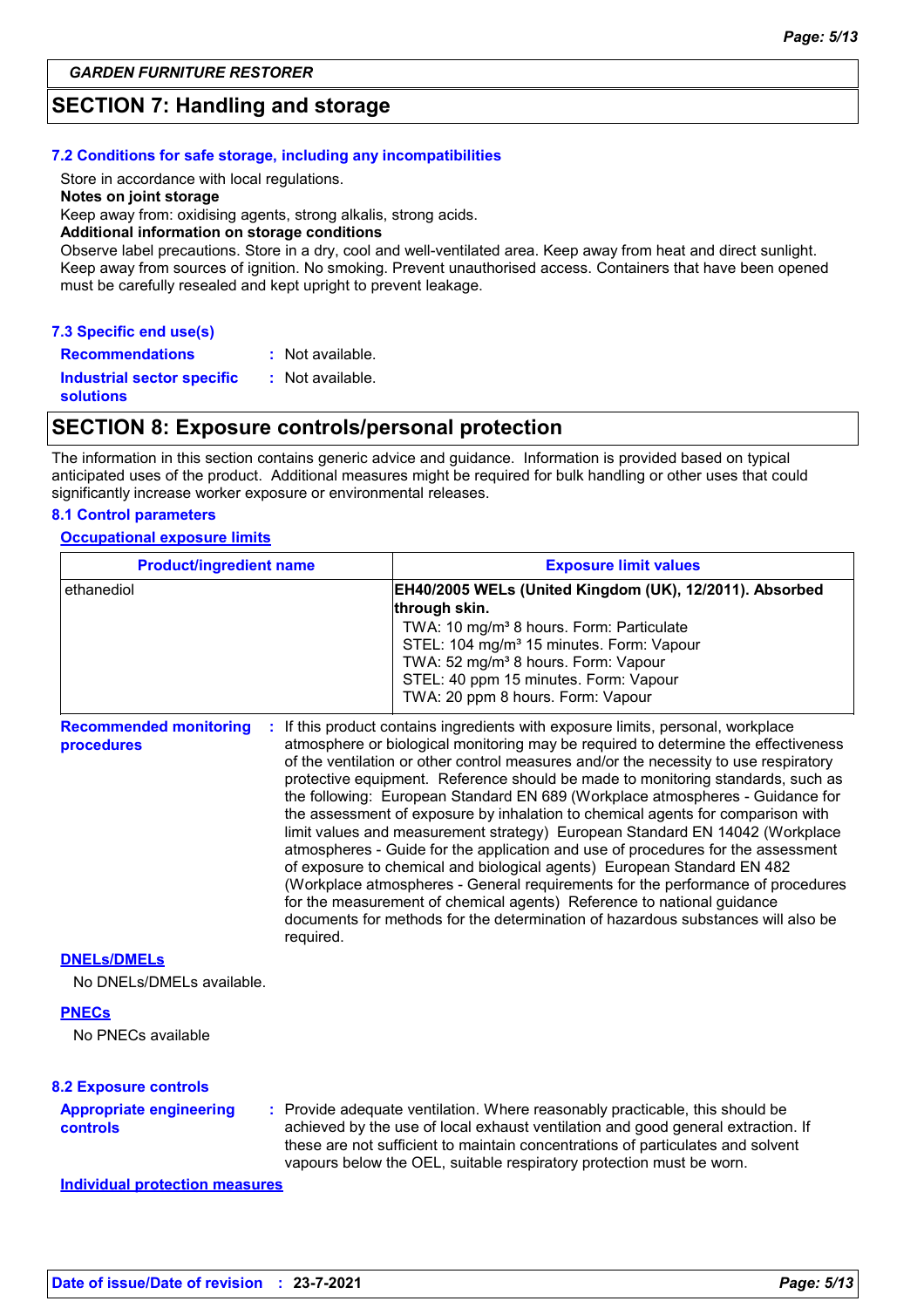### **SECTION 7: Handling and storage**

#### **7.2 Conditions for safe storage, including any incompatibilities**

Store in accordance with local regulations.

#### **Notes on joint storage**

Keep away from: oxidising agents, strong alkalis, strong acids.

**Additional information on storage conditions**

Observe label precautions. Store in a dry, cool and well-ventilated area. Keep away from heat and direct sunlight. Keep away from sources of ignition. No smoking. Prevent unauthorised access. Containers that have been opened must be carefully resealed and kept upright to prevent leakage.

| 7.3 Specific end use(s)           |                    |
|-----------------------------------|--------------------|
| <b>Recommendations</b>            | $:$ Not available. |
| <b>Industrial sector specific</b> | : Not available.   |
| <b>solutions</b>                  |                    |

### **SECTION 8: Exposure controls/personal protection**

The information in this section contains generic advice and guidance. Information is provided based on typical anticipated uses of the product. Additional measures might be required for bulk handling or other uses that could significantly increase worker exposure or environmental releases.

#### **8.1 Control parameters**

#### **Occupational exposure limits**

| <b>Product/ingredient name</b>                           |  | <b>Exposure limit values</b>                                                                                                                                                                                                                                                                                                                                                                                                                                                                                                                                                                                                                                                                                                                                                                                                                                                                                                                                                                                          |  |
|----------------------------------------------------------|--|-----------------------------------------------------------------------------------------------------------------------------------------------------------------------------------------------------------------------------------------------------------------------------------------------------------------------------------------------------------------------------------------------------------------------------------------------------------------------------------------------------------------------------------------------------------------------------------------------------------------------------------------------------------------------------------------------------------------------------------------------------------------------------------------------------------------------------------------------------------------------------------------------------------------------------------------------------------------------------------------------------------------------|--|
| ethanediol                                               |  | EH40/2005 WELs (United Kingdom (UK), 12/2011). Absorbed<br>through skin.<br>TWA: 10 mg/m <sup>3</sup> 8 hours. Form: Particulate<br>STEL: 104 mg/m <sup>3</sup> 15 minutes. Form: Vapour<br>TWA: 52 mg/m <sup>3</sup> 8 hours. Form: Vapour<br>STEL: 40 ppm 15 minutes. Form: Vapour<br>TWA: 20 ppm 8 hours. Form: Vapour                                                                                                                                                                                                                                                                                                                                                                                                                                                                                                                                                                                                                                                                                             |  |
| <b>Recommended monitoring</b><br>procedures<br>required. |  | : If this product contains ingredients with exposure limits, personal, workplace<br>atmosphere or biological monitoring may be required to determine the effectiveness<br>of the ventilation or other control measures and/or the necessity to use respiratory<br>protective equipment. Reference should be made to monitoring standards, such as<br>the following: European Standard EN 689 (Workplace atmospheres - Guidance for<br>the assessment of exposure by inhalation to chemical agents for comparison with<br>limit values and measurement strategy) European Standard EN 14042 (Workplace<br>atmospheres - Guide for the application and use of procedures for the assessment<br>of exposure to chemical and biological agents) European Standard EN 482<br>(Workplace atmospheres - General requirements for the performance of procedures<br>for the measurement of chemical agents) Reference to national guidance<br>documents for methods for the determination of hazardous substances will also be |  |
| <b>DNELS/DMELS</b><br>No DNELs/DMELs available.          |  |                                                                                                                                                                                                                                                                                                                                                                                                                                                                                                                                                                                                                                                                                                                                                                                                                                                                                                                                                                                                                       |  |
| <b>PNECs</b><br>No PNECs available                       |  |                                                                                                                                                                                                                                                                                                                                                                                                                                                                                                                                                                                                                                                                                                                                                                                                                                                                                                                                                                                                                       |  |
| <b>8.2 Exposure controls</b>                             |  |                                                                                                                                                                                                                                                                                                                                                                                                                                                                                                                                                                                                                                                                                                                                                                                                                                                                                                                                                                                                                       |  |
| <b>Appropriate engineering</b><br>controls               |  | : Provide adequate ventilation. Where reasonably practicable, this should be<br>achieved by the use of local exhaust ventilation and good general extraction. If<br>these are not sufficient to maintain concentrations of particulates and solvent<br>vapours below the OEL, suitable respiratory protection must be worn.                                                                                                                                                                                                                                                                                                                                                                                                                                                                                                                                                                                                                                                                                           |  |

**Individual protection measures**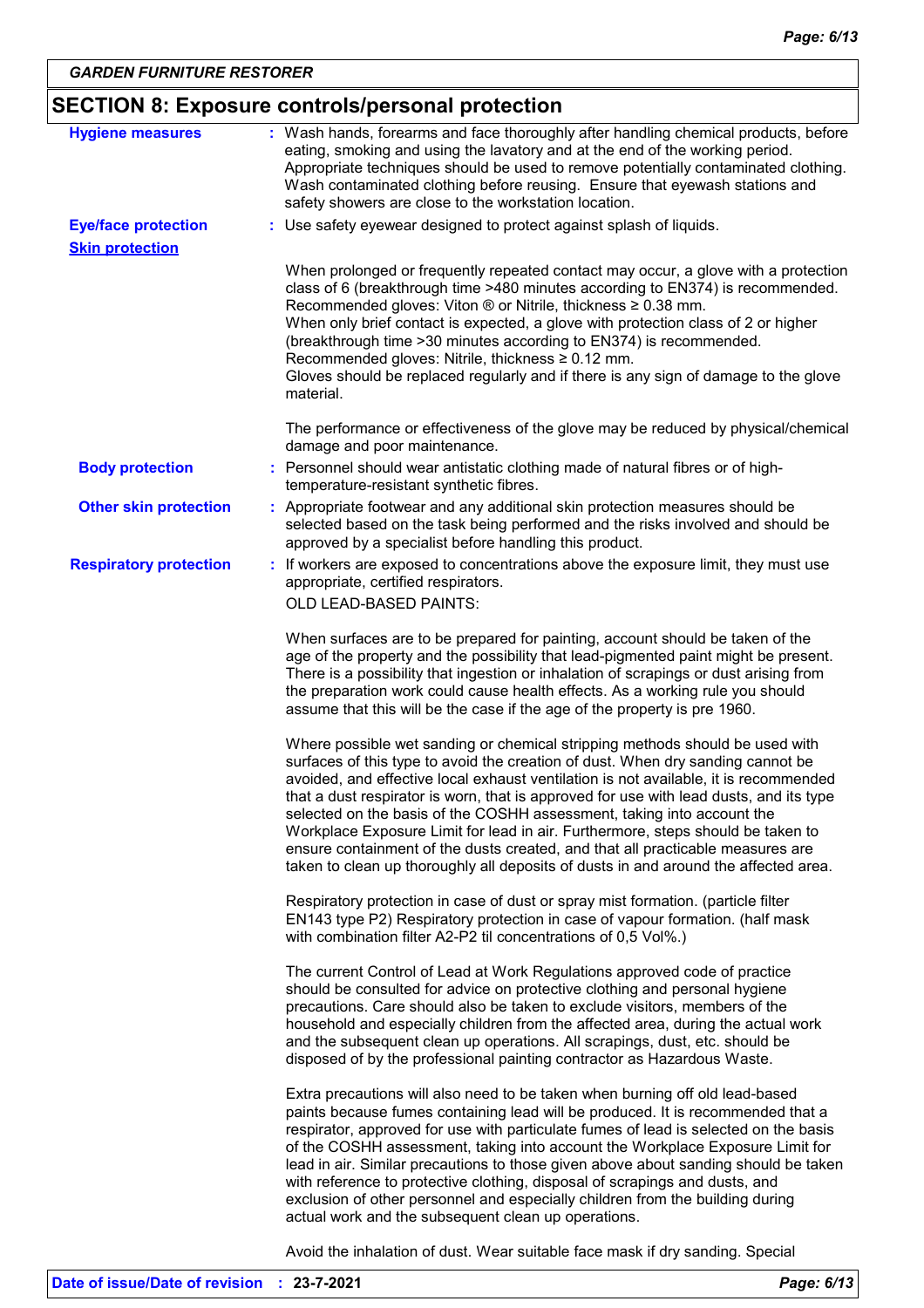# **SECTION 8: Exposure controls/personal protection**

| <b>Hygiene measures</b>                              | : Wash hands, forearms and face thoroughly after handling chemical products, before<br>eating, smoking and using the lavatory and at the end of the working period.<br>Appropriate techniques should be used to remove potentially contaminated clothing.<br>Wash contaminated clothing before reusing. Ensure that eyewash stations and<br>safety showers are close to the workstation location.                                                                                                                                                                                                                                                                                       |
|------------------------------------------------------|-----------------------------------------------------------------------------------------------------------------------------------------------------------------------------------------------------------------------------------------------------------------------------------------------------------------------------------------------------------------------------------------------------------------------------------------------------------------------------------------------------------------------------------------------------------------------------------------------------------------------------------------------------------------------------------------|
| <b>Eye/face protection</b><br><b>Skin protection</b> | : Use safety eyewear designed to protect against splash of liquids.                                                                                                                                                                                                                                                                                                                                                                                                                                                                                                                                                                                                                     |
|                                                      | When prolonged or frequently repeated contact may occur, a glove with a protection<br>class of 6 (breakthrough time >480 minutes according to EN374) is recommended.<br>Recommended gloves: Viton ® or Nitrile, thickness ≥ 0.38 mm.<br>When only brief contact is expected, a glove with protection class of 2 or higher<br>(breakthrough time > 30 minutes according to EN374) is recommended.<br>Recommended gloves: Nitrile, thickness ≥ 0.12 mm.<br>Gloves should be replaced regularly and if there is any sign of damage to the glove<br>material.                                                                                                                               |
|                                                      | The performance or effectiveness of the glove may be reduced by physical/chemical<br>damage and poor maintenance.                                                                                                                                                                                                                                                                                                                                                                                                                                                                                                                                                                       |
| <b>Body protection</b>                               | : Personnel should wear antistatic clothing made of natural fibres or of high-<br>temperature-resistant synthetic fibres.                                                                                                                                                                                                                                                                                                                                                                                                                                                                                                                                                               |
| <b>Other skin protection</b>                         | : Appropriate footwear and any additional skin protection measures should be<br>selected based on the task being performed and the risks involved and should be<br>approved by a specialist before handling this product.                                                                                                                                                                                                                                                                                                                                                                                                                                                               |
| <b>Respiratory protection</b>                        | : If workers are exposed to concentrations above the exposure limit, they must use<br>appropriate, certified respirators.                                                                                                                                                                                                                                                                                                                                                                                                                                                                                                                                                               |
|                                                      | OLD LEAD-BASED PAINTS:                                                                                                                                                                                                                                                                                                                                                                                                                                                                                                                                                                                                                                                                  |
|                                                      | When surfaces are to be prepared for painting, account should be taken of the<br>age of the property and the possibility that lead-pigmented paint might be present.<br>There is a possibility that ingestion or inhalation of scrapings or dust arising from<br>the preparation work could cause health effects. As a working rule you should<br>assume that this will be the case if the age of the property is pre 1960.                                                                                                                                                                                                                                                             |
|                                                      | Where possible wet sanding or chemical stripping methods should be used with<br>surfaces of this type to avoid the creation of dust. When dry sanding cannot be<br>avoided, and effective local exhaust ventilation is not available, it is recommended<br>that a dust respirator is worn, that is approved for use with lead dusts, and its type<br>selected on the basis of the COSHH assessment, taking into account the<br>Workplace Exposure Limit for lead in air. Furthermore, steps should be taken to<br>ensure containment of the dusts created, and that all practicable measures are<br>taken to clean up thoroughly all deposits of dusts in and around the affected area. |
|                                                      | Respiratory protection in case of dust or spray mist formation. (particle filter<br>EN143 type P2) Respiratory protection in case of vapour formation. (half mask<br>with combination filter A2-P2 til concentrations of 0,5 Vol%.)                                                                                                                                                                                                                                                                                                                                                                                                                                                     |
|                                                      | The current Control of Lead at Work Regulations approved code of practice<br>should be consulted for advice on protective clothing and personal hygiene<br>precautions. Care should also be taken to exclude visitors, members of the<br>household and especially children from the affected area, during the actual work<br>and the subsequent clean up operations. All scrapings, dust, etc. should be<br>disposed of by the professional painting contractor as Hazardous Waste.                                                                                                                                                                                                     |
|                                                      | Extra precautions will also need to be taken when burning off old lead-based<br>paints because fumes containing lead will be produced. It is recommended that a<br>respirator, approved for use with particulate fumes of lead is selected on the basis<br>of the COSHH assessment, taking into account the Workplace Exposure Limit for<br>lead in air. Similar precautions to those given above about sanding should be taken<br>with reference to protective clothing, disposal of scrapings and dusts, and<br>exclusion of other personnel and especially children from the building during<br>actual work and the subsequent clean up operations.                                  |

Avoid the inhalation of dust. Wear suitable face mask if dry sanding. Special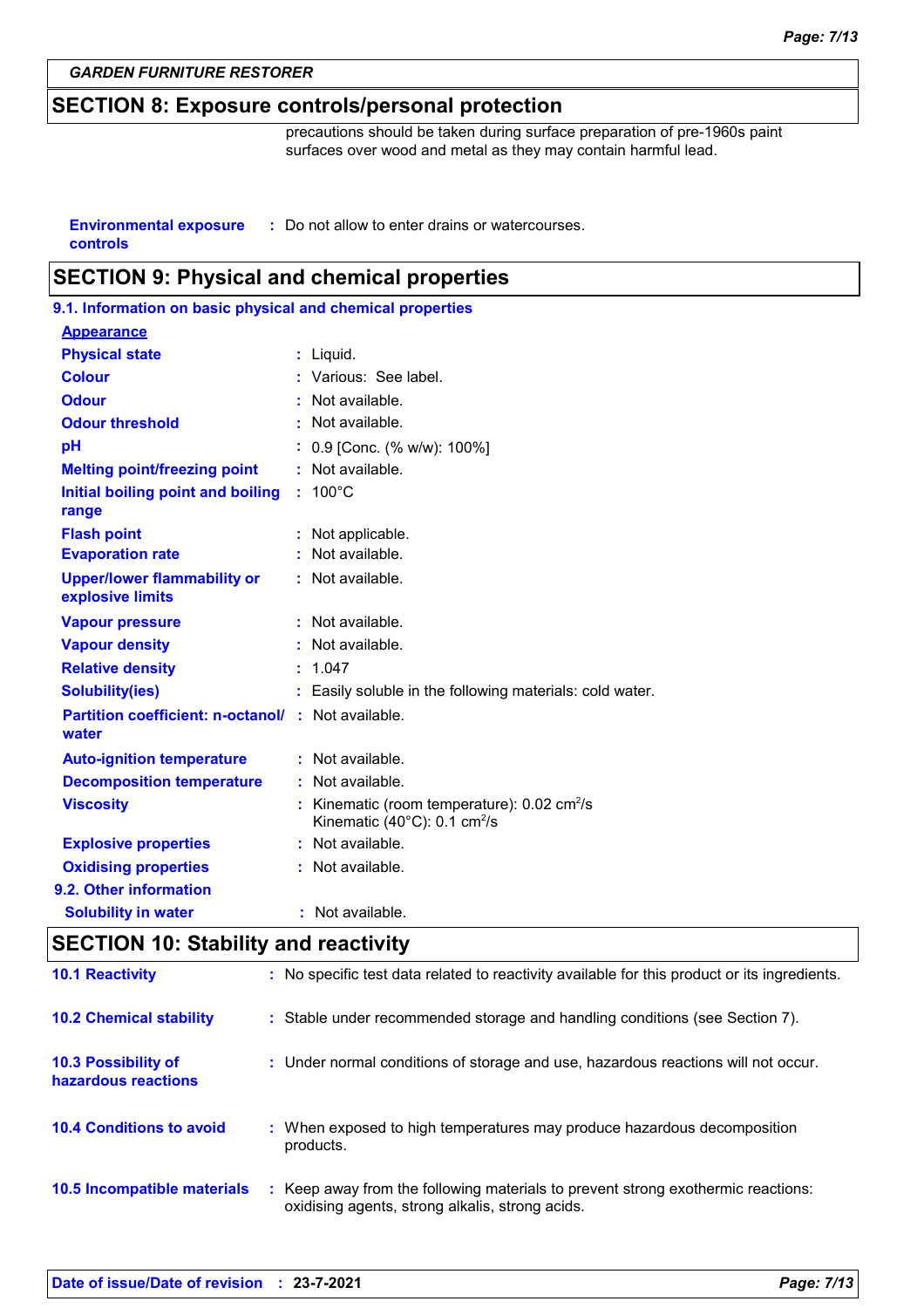### **SECTION 8: Exposure controls/personal protection**

precautions should be taken during surface preparation of pre-1960s paint surfaces over wood and metal as they may contain harmful lead.

**Environmental exposure : Do not allow to enter drains or watercourses. controls**

### **SECTION 9: Physical and chemical properties**

| 9.1. Information on basic physical and chemical properties         |   |                                                                                                             |  |
|--------------------------------------------------------------------|---|-------------------------------------------------------------------------------------------------------------|--|
| <b>Appearance</b>                                                  |   |                                                                                                             |  |
| <b>Physical state</b>                                              |   | $:$ Liquid.                                                                                                 |  |
| <b>Colour</b>                                                      |   | : Various: See label.                                                                                       |  |
| <b>Odour</b>                                                       |   | Not available.                                                                                              |  |
| <b>Odour threshold</b>                                             |   | Not available.                                                                                              |  |
| pH                                                                 |   | 0.9 [Conc. (% w/w): 100%]                                                                                   |  |
| <b>Melting point/freezing point</b>                                |   | Not available.                                                                                              |  |
| Initial boiling point and boiling<br>range                         |   | $: 100^{\circ}$ C                                                                                           |  |
| <b>Flash point</b>                                                 |   | Not applicable.                                                                                             |  |
| <b>Evaporation rate</b>                                            |   | Not available.                                                                                              |  |
| <b>Upper/lower flammability or</b><br>explosive limits             |   | : Not available.                                                                                            |  |
| <b>Vapour pressure</b>                                             | ÷ | Not available.                                                                                              |  |
| <b>Vapour density</b>                                              |   | Not available.                                                                                              |  |
| <b>Relative density</b>                                            |   | 1.047                                                                                                       |  |
| <b>Solubility(ies)</b>                                             |   | : Easily soluble in the following materials: cold water.                                                    |  |
| <b>Partition coefficient: n-octanol/ : Not available.</b><br>water |   |                                                                                                             |  |
| <b>Auto-ignition temperature</b>                                   |   | : Not available.                                                                                            |  |
| <b>Decomposition temperature</b>                                   |   | $:$ Not available.                                                                                          |  |
|                                                                    |   |                                                                                                             |  |
| <b>Viscosity</b>                                                   |   | Kinematic (room temperature): 0.02 cm <sup>2</sup> /s<br>Kinematic $(40^{\circ}$ C): 0.1 cm <sup>2</sup> /s |  |
| <b>Explosive properties</b>                                        |   | : Not available.                                                                                            |  |
| <b>Oxidising properties</b>                                        |   | : Not available.                                                                                            |  |
| 9.2. Other information                                             |   |                                                                                                             |  |

### **SECTION 10: Stability and reactivity**

| <b>10.1 Reactivity</b>                            | : No specific test data related to reactivity available for this product or its ingredients.                                        |
|---------------------------------------------------|-------------------------------------------------------------------------------------------------------------------------------------|
| <b>10.2 Chemical stability</b>                    | : Stable under recommended storage and handling conditions (see Section 7).                                                         |
| <b>10.3 Possibility of</b><br>hazardous reactions | : Under normal conditions of storage and use, hazardous reactions will not occur.                                                   |
| <b>10.4 Conditions to avoid</b>                   | : When exposed to high temperatures may produce hazardous decomposition<br>products.                                                |
| 10.5 Incompatible materials                       | : Keep away from the following materials to prevent strong exothermic reactions:<br>oxidising agents, strong alkalis, strong acids. |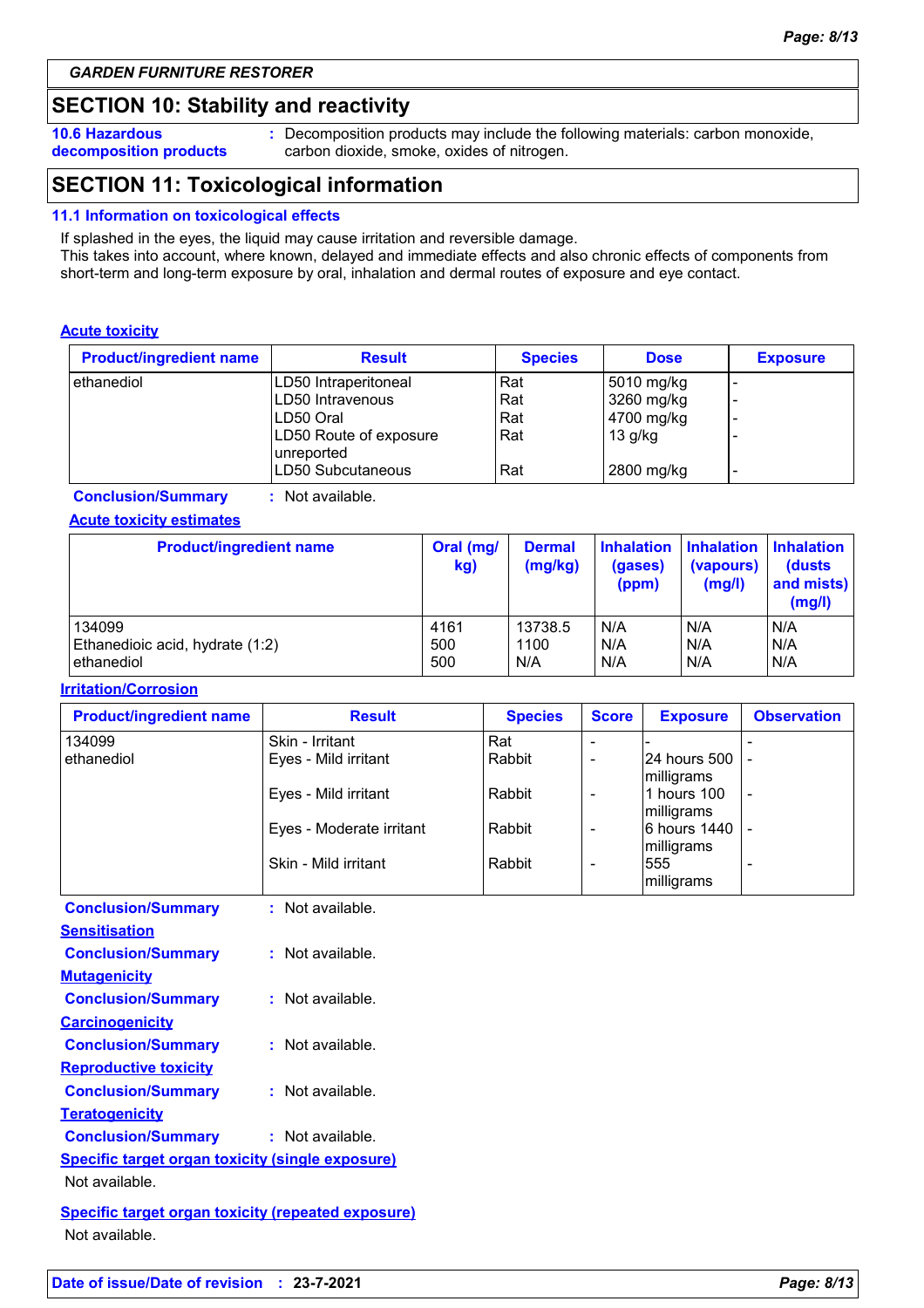### **SECTION 10: Stability and reactivity**

**10.6 Hazardous decomposition products** **:** Decomposition products may include the following materials: carbon monoxide, carbon dioxide, smoke, oxides of nitrogen.

### **SECTION 11: Toxicological information**

#### **11.1 Information on toxicological effects**

If splashed in the eyes, the liquid may cause irritation and reversible damage.

This takes into account, where known, delayed and immediate effects and also chronic effects of components from short-term and long-term exposure by oral, inhalation and dermal routes of exposure and eye contact.

#### **Acute toxicity**

| <b>Product/ingredient name</b> | <b>Result</b>                         | <b>Species</b> | <b>Dose</b> | <b>Exposure</b>          |
|--------------------------------|---------------------------------------|----------------|-------------|--------------------------|
| ethanediol                     | LD50 Intraperitoneal                  | Rat            | 5010 mg/kg  |                          |
|                                | ILD50 Intravenous                     | Rat            | 3260 mg/kg  |                          |
|                                | ILD50 Oral                            | Rat            | 4700 mg/kg  |                          |
|                                | LD50 Route of exposure<br>Iunreported | Rat            | $13$ g/kg   |                          |
|                                | ILD50 Subcutaneous                    | Rat            | 2800 mg/kg  | $\overline{\phantom{0}}$ |

**Conclusion/Summary :** Not available.

#### **Acute toxicity estimates**

| <b>Product/ingredient name</b>  | Oral (mg/<br>kg) | <b>Dermal</b><br>(mg/kg) | <b>Inhalation</b><br>(gases)<br>(ppm) | <b>Inhalation Inhalation</b><br>(vapours)<br>(mg/l) | (dusts)<br>and mists)<br>(mg/l) |
|---------------------------------|------------------|--------------------------|---------------------------------------|-----------------------------------------------------|---------------------------------|
| 134099                          | 4161             | 13738.5                  | N/A                                   | N/A                                                 | N/A                             |
| Ethanedioic acid, hydrate (1:2) | 500              | 1100                     | N/A                                   | N/A                                                 | N/A                             |
| ethanediol                      | 500              | N/A                      | N/A                                   | N/A                                                 | N/A                             |

#### **Irritation/Corrosion**

| <b>Product/ingredient name</b> | <b>Result</b>            | <b>Species</b> | <b>Score</b>             | <b>Exposure</b>            | <b>Observation</b> |
|--------------------------------|--------------------------|----------------|--------------------------|----------------------------|--------------------|
| 134099                         | Skin - Irritant          | Rat            | ۰                        |                            |                    |
| ethanediol                     | Eyes - Mild irritant     | Rabbit         | ۰                        | 24 hours 500<br>milligrams |                    |
|                                | Eyes - Mild irritant     | Rabbit         | $\blacksquare$           | 1 hours 100<br>milligrams  | $\blacksquare$     |
|                                | Eyes - Moderate irritant | Rabbit         | $\blacksquare$           | 6 hours 1440<br>milligrams |                    |
|                                | Skin - Mild irritant     | Rabbit         | $\overline{\phantom{a}}$ | 555<br>milligrams          |                    |
| <b>Conclusion/Summary</b>      | : Not available.         |                |                          |                            |                    |
| <b>Sensitisation</b>           |                          |                |                          |                            |                    |
| <b>Conclusion/Summary</b>      | : Not available.         |                |                          |                            |                    |
| <b>Mutagenicity</b>            |                          |                |                          |                            |                    |
| <b>Conclusion/Summary</b>      | : Not available.         |                |                          |                            |                    |
| <b>Carcinogenicity</b>         |                          |                |                          |                            |                    |
| <b>Conclusion/Summary</b>      | : Not available.         |                |                          |                            |                    |
| <b>Reproductive toxicity</b>   |                          |                |                          |                            |                    |

**Teratogenicity Conclusion/Summary :** Not available.

**Conclusion/Summary :** Not available.

**Specific target organ toxicity (single exposure)**

Not available.

**Specific target organ toxicity (repeated exposure)** Not available.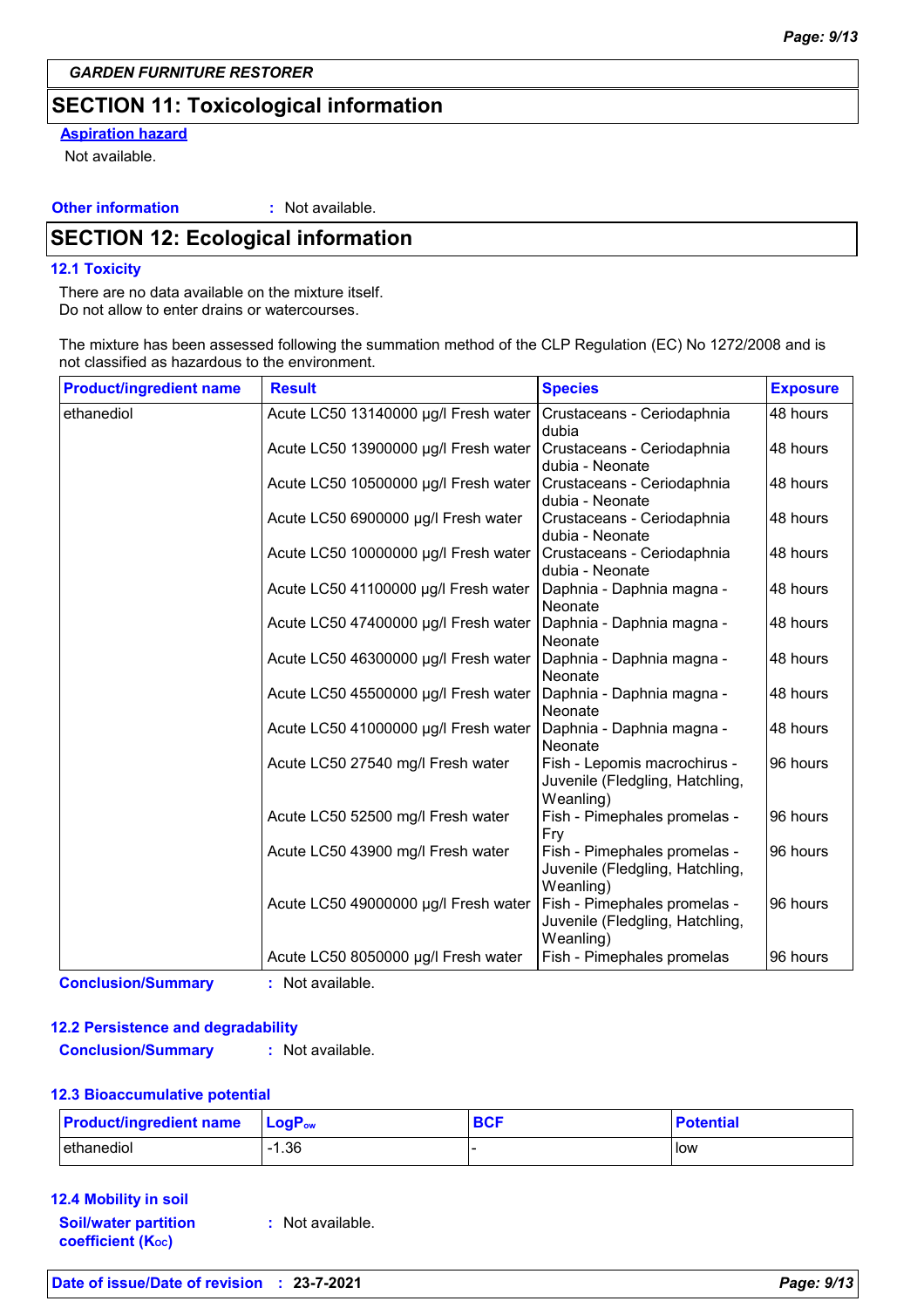### **SECTION 11: Toxicological information**

### **Aspiration hazard**

Not available.

#### **Other information :**

: Not available.

### **SECTION 12: Ecological information**

#### **12.1 Toxicity**

There are no data available on the mixture itself. Do not allow to enter drains or watercourses.

The mixture has been assessed following the summation method of the CLP Regulation (EC) No 1272/2008 and is not classified as hazardous to the environment.

| <b>Product/ingredient name</b> | <b>Result</b>                        | <b>Species</b>                                                               | <b>Exposure</b> |
|--------------------------------|--------------------------------------|------------------------------------------------------------------------------|-----------------|
| ethanediol                     | Acute LC50 13140000 µg/l Fresh water | Crustaceans - Ceriodaphnia<br>dubia                                          | 48 hours        |
|                                | Acute LC50 13900000 µg/l Fresh water | Crustaceans - Ceriodaphnia<br>dubia - Neonate                                | 48 hours        |
|                                | Acute LC50 10500000 µg/l Fresh water | Crustaceans - Ceriodaphnia<br>dubia - Neonate                                | 48 hours        |
|                                | Acute LC50 6900000 µg/l Fresh water  | Crustaceans - Ceriodaphnia<br>dubia - Neonate                                | 48 hours        |
|                                | Acute LC50 10000000 µg/l Fresh water | Crustaceans - Ceriodaphnia<br>dubia - Neonate                                | 48 hours        |
|                                | Acute LC50 41100000 µg/l Fresh water | Daphnia - Daphnia magna -<br>Neonate                                         | 48 hours        |
|                                | Acute LC50 47400000 µg/l Fresh water | Daphnia - Daphnia magna -<br>Neonate                                         | 48 hours        |
|                                | Acute LC50 46300000 µg/l Fresh water | Daphnia - Daphnia magna -<br>Neonate                                         | 48 hours        |
|                                | Acute LC50 45500000 µg/l Fresh water | Daphnia - Daphnia magna -<br>Neonate                                         | 48 hours        |
|                                | Acute LC50 41000000 µg/l Fresh water | Daphnia - Daphnia magna -<br>Neonate                                         | 48 hours        |
|                                | Acute LC50 27540 mg/l Fresh water    | Fish - Lepomis macrochirus -<br>Juvenile (Fledgling, Hatchling,<br>Weanling) | 96 hours        |
|                                | Acute LC50 52500 mg/l Fresh water    | Fish - Pimephales promelas -<br>Fry                                          | 96 hours        |
|                                | Acute LC50 43900 mg/l Fresh water    | Fish - Pimephales promelas -<br>Juvenile (Fledgling, Hatchling,<br>Weanling) | 96 hours        |
|                                | Acute LC50 49000000 µg/l Fresh water | Fish - Pimephales promelas -<br>Juvenile (Fledgling, Hatchling,<br>Weanling) | 96 hours        |
|                                | Acute LC50 8050000 µg/l Fresh water  | Fish - Pimephales promelas                                                   | 96 hours        |

**Conclusion/Summary :** Not available.

### **12.2 Persistence and degradability**

**Conclusion/Summary :** Not available.

### **12.3 Bioaccumulative potential**

| <b>Product/ingredient name</b> | $\mathsf{LocP}_\mathsf{ow}$ | <b>BCF</b> | <b>Potential</b> |
|--------------------------------|-----------------------------|------------|------------------|
| ethanediol                     | 1.36                        |            | low              |

**12.4 Mobility in soil**

**Soil/water partition coefficient (KOC) :** Not available.

**Date of issue/Date of revision : 23-7-2021** *Page: 9/13*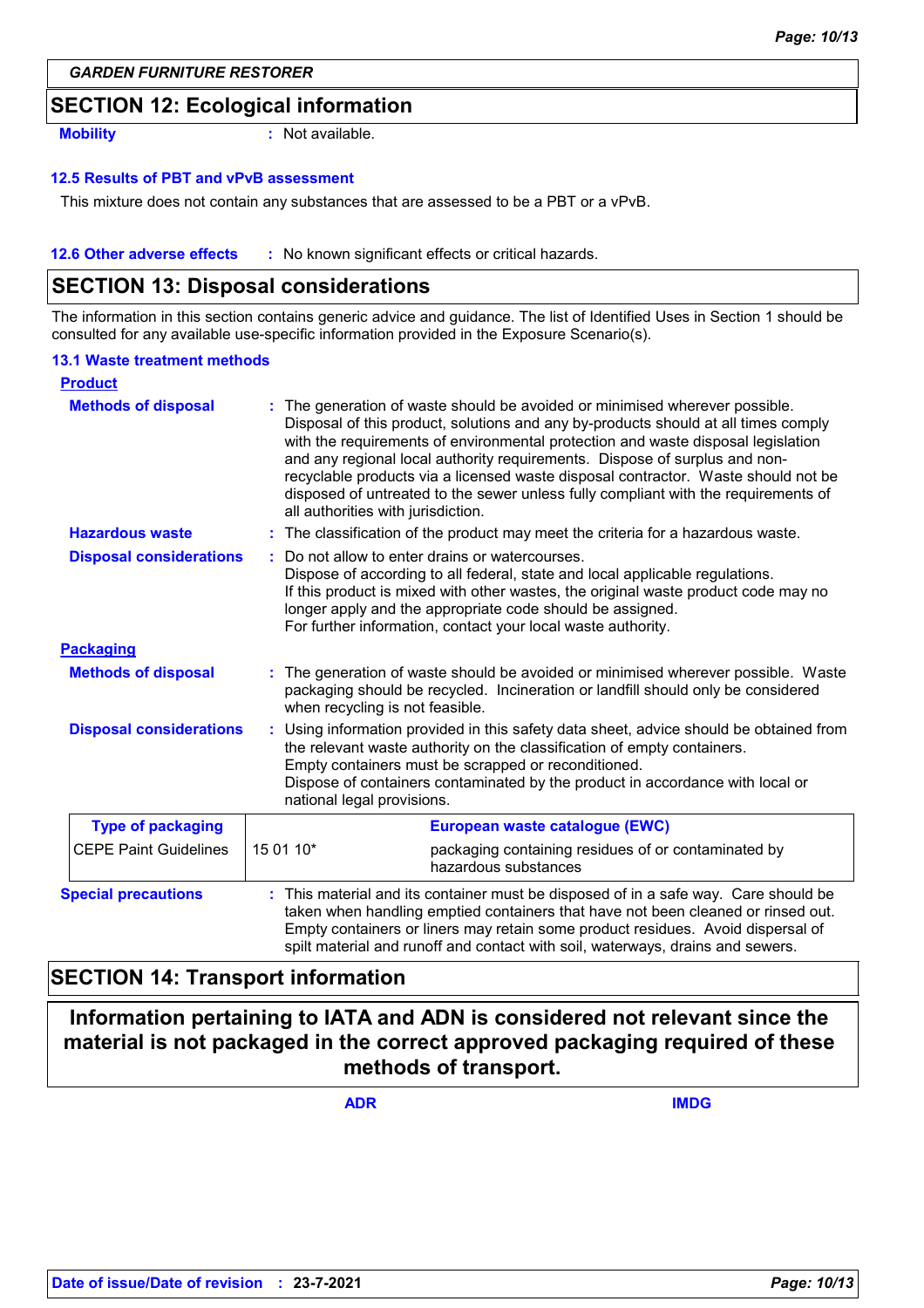### **SECTION 12: Ecological information**

**Mobility :** Not available.

#### **12.5 Results of PBT and vPvB assessment**

This mixture does not contain any substances that are assessed to be a PBT or a vPvB.

**12.6 Other adverse effects** : No known significant effects or critical hazards.

### **SECTION 13: Disposal considerations**

The information in this section contains generic advice and guidance. The list of Identified Uses in Section 1 should be consulted for any available use-specific information provided in the Exposure Scenario(s).

#### **13.1 Waste treatment methods**

| <b>Product</b>                 |                                                                                                                                                                                                                                                                                                                                                                                                                                                                                                                                                    |  |
|--------------------------------|----------------------------------------------------------------------------------------------------------------------------------------------------------------------------------------------------------------------------------------------------------------------------------------------------------------------------------------------------------------------------------------------------------------------------------------------------------------------------------------------------------------------------------------------------|--|
| <b>Methods of disposal</b>     | The generation of waste should be avoided or minimised wherever possible.<br>Disposal of this product, solutions and any by-products should at all times comply<br>with the requirements of environmental protection and waste disposal legislation<br>and any regional local authority requirements. Dispose of surplus and non-<br>recyclable products via a licensed waste disposal contractor. Waste should not be<br>disposed of untreated to the sewer unless fully compliant with the requirements of<br>all authorities with jurisdiction. |  |
| <b>Hazardous waste</b>         | : The classification of the product may meet the criteria for a hazardous waste.                                                                                                                                                                                                                                                                                                                                                                                                                                                                   |  |
| <b>Disposal considerations</b> | Do not allow to enter drains or watercourses.<br>Dispose of according to all federal, state and local applicable regulations.<br>If this product is mixed with other wastes, the original waste product code may no<br>longer apply and the appropriate code should be assigned.<br>For further information, contact your local waste authority.                                                                                                                                                                                                   |  |
| <b>Packaging</b>               |                                                                                                                                                                                                                                                                                                                                                                                                                                                                                                                                                    |  |
| <b>Methods of disposal</b>     | : The generation of waste should be avoided or minimised wherever possible. Waste<br>packaging should be recycled. Incineration or landfill should only be considered<br>when recycling is not feasible.                                                                                                                                                                                                                                                                                                                                           |  |
| <b>Disposal considerations</b> | Using information provided in this safety data sheet, advice should be obtained from<br>÷.<br>the relevant waste authority on the classification of empty containers.<br>Empty containers must be scrapped or reconditioned.<br>Dispose of containers contaminated by the product in accordance with local or<br>national legal provisions.                                                                                                                                                                                                        |  |
| <b>Type of packaging</b>       | European waste catalogue (EWC)                                                                                                                                                                                                                                                                                                                                                                                                                                                                                                                     |  |
| <b>CEPE Paint Guidelines</b>   | 15 01 10*<br>packaging containing residues of or contaminated by<br>hazardous substances                                                                                                                                                                                                                                                                                                                                                                                                                                                           |  |
| <b>Special precautions</b>     | This material and its container must be disposed of in a safe way. Care should be<br>taken when handling emptied containers that have not been cleaned or rinsed out.<br>Empty containers or liners may retain some product residues. Avoid dispersal of<br>spilt material and runoff and contact with soil, waterways, drains and sewers.                                                                                                                                                                                                         |  |

### **SECTION 14: Transport information**

**Information pertaining to IATA and ADN is considered not relevant since the material is not packaged in the correct approved packaging required of these methods of transport.**

**ADR IMDG**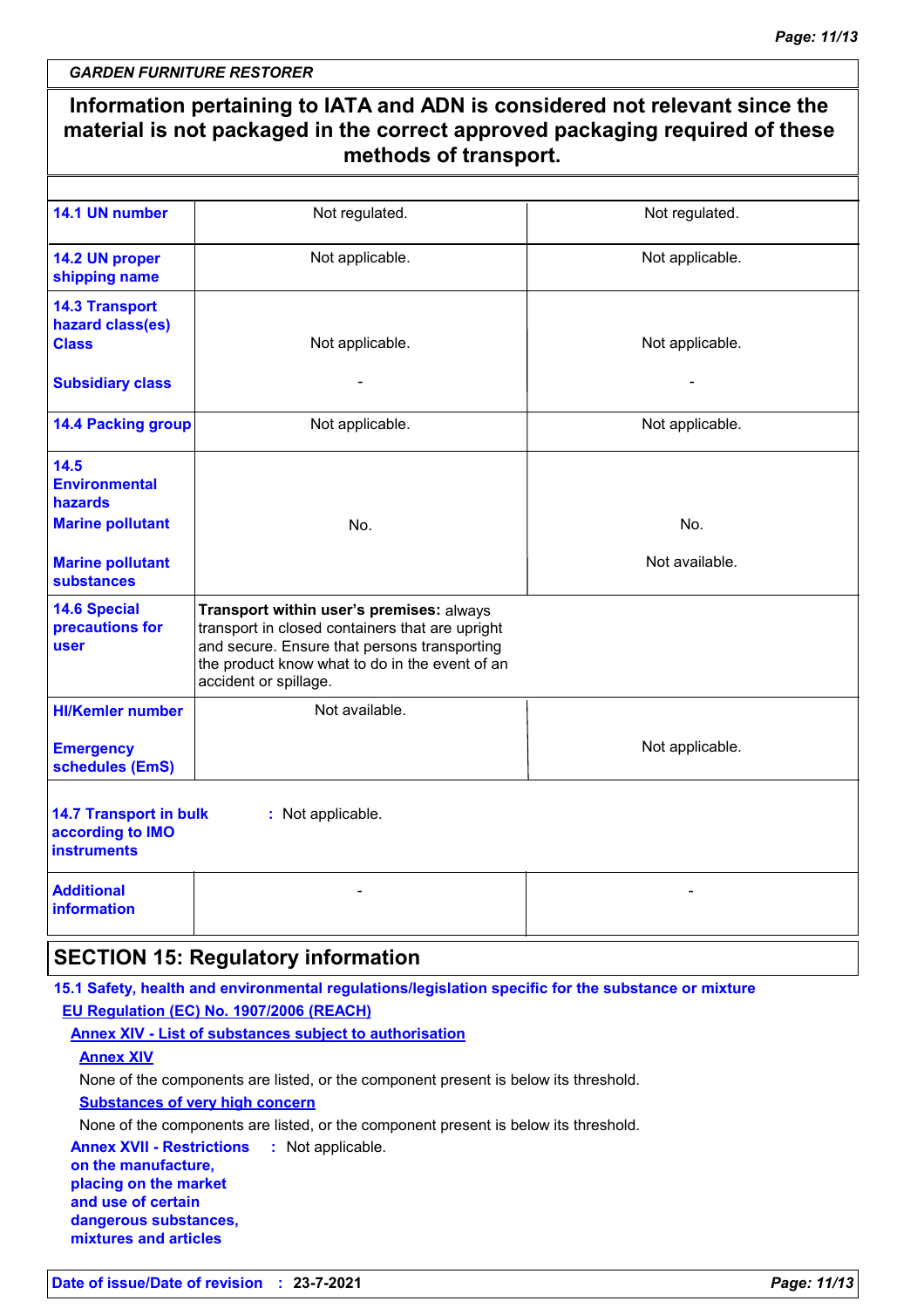|                                                                         | Information pertaining to IATA and ADN is considered not relevant since the<br>material is not packaged in the correct approved packaging required of these<br>methods of transport.                                   |                 |
|-------------------------------------------------------------------------|------------------------------------------------------------------------------------------------------------------------------------------------------------------------------------------------------------------------|-----------------|
|                                                                         |                                                                                                                                                                                                                        |                 |
| 14.1 UN number                                                          | Not regulated.                                                                                                                                                                                                         | Not regulated.  |
| 14.2 UN proper<br>shipping name                                         | Not applicable.                                                                                                                                                                                                        | Not applicable. |
| <b>14.3 Transport</b><br>hazard class(es)<br><b>Class</b>               | Not applicable.                                                                                                                                                                                                        | Not applicable. |
| <b>Subsidiary class</b>                                                 |                                                                                                                                                                                                                        |                 |
| <b>14.4 Packing group</b>                                               | Not applicable.                                                                                                                                                                                                        | Not applicable. |
| 14.5<br><b>Environmental</b><br>hazards                                 |                                                                                                                                                                                                                        |                 |
| <b>Marine pollutant</b>                                                 | No.                                                                                                                                                                                                                    | No.             |
| <b>Marine pollutant</b><br><b>substances</b>                            |                                                                                                                                                                                                                        | Not available.  |
| <b>14.6 Special</b><br>precautions for<br><b>user</b>                   | Transport within user's premises: always<br>transport in closed containers that are upright<br>and secure. Ensure that persons transporting<br>the product know what to do in the event of an<br>accident or spillage. |                 |
| <b>HI/Kemler number</b>                                                 | Not available.                                                                                                                                                                                                         |                 |
| <b>Emergency</b><br>schedules (EmS)                                     |                                                                                                                                                                                                                        | Not applicable. |
| <b>14.7 Transport in bulk</b><br>according to IMO<br><b>instruments</b> | : Not applicable.                                                                                                                                                                                                      |                 |
| <b>Additional</b><br><b>information</b>                                 |                                                                                                                                                                                                                        |                 |
|                                                                         | <b>SECTION 15: Regulatory information</b>                                                                                                                                                                              |                 |
|                                                                         | 15.1 Safety, health and environmental regulations/legislation specific for the substance or mixture<br>EU Regulation (EC) No. 1907/2006 (REACH)<br><b>Annex XIV - List of substances subject to authorisation</b>      |                 |

**Annex XIV**

None of the components are listed, or the component present is below its threshold.

**Substances of very high concern**

None of the components are listed, or the component present is below its threshold.

**Annex XVII - Restrictions :** Not applicable. **on the manufacture, placing on the market and use of certain dangerous substances, mixtures and articles**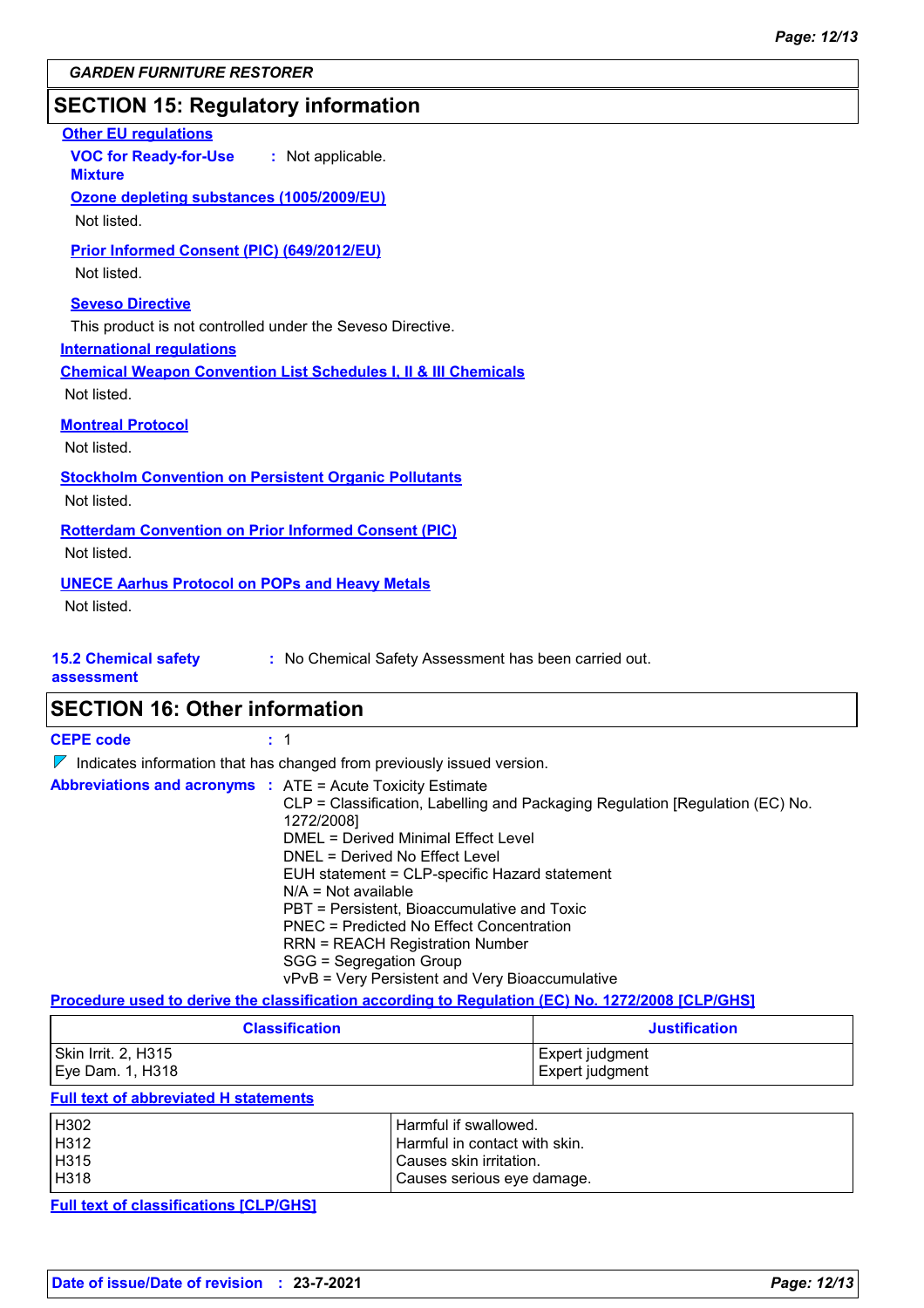### **SECTION 15: Regulatory information**

| <b>Other EU regulations</b><br>VOC for Ready-for-Use : Not applicable.<br><b>Mixture</b>                                                                                                                               |
|------------------------------------------------------------------------------------------------------------------------------------------------------------------------------------------------------------------------|
| Ozone depleting substances (1005/2009/EU)<br>Not listed.                                                                                                                                                               |
| Prior Informed Consent (PIC) (649/2012/EU)<br>Not listed.                                                                                                                                                              |
| <b>Seveso Directive</b><br>This product is not controlled under the Seveso Directive.<br><b>International regulations</b><br><b>Chemical Weapon Convention List Schedules I, II &amp; III Chemicals</b><br>Not listed. |
| <b>Montreal Protocol</b><br>Not listed.                                                                                                                                                                                |
| <b>Stockholm Convention on Persistent Organic Pollutants</b><br>Not listed.                                                                                                                                            |
| <b>Rotterdam Convention on Prior Informed Consent (PIC)</b><br>Not listed.                                                                                                                                             |
| <b>UNECE Aarhus Protocol on POPs and Heavy Metals</b><br>Not listed.                                                                                                                                                   |
| <b>15.2 Chemical safety</b><br>: No Chemical Safety Assessment has been carried out.                                                                                                                                   |

**assessment**

**SECTION 16: Other information**

**CEPE code :** 1

 $\nabla$  Indicates information that has changed from previously issued version.

| <b>Abbreviations and acronyms : ATE = Acute Toxicity Estimate</b>             |
|-------------------------------------------------------------------------------|
| CLP = Classification, Labelling and Packaging Regulation [Regulation (EC) No. |
| 1272/2008]                                                                    |
| DMEL = Derived Minimal Effect Level                                           |
| DNEL = Derived No Effect Level                                                |
| EUH statement = CLP-specific Hazard statement                                 |
| $N/A = Not available$                                                         |
| PBT = Persistent, Bioaccumulative and Toxic                                   |
| PNEC = Predicted No Effect Concentration                                      |
| <b>RRN = REACH Registration Number</b>                                        |
| SGG = Segregation Group                                                       |
| vPvB = Very Persistent and Very Bioaccumulative                               |

### **Procedure used to derive the classification according to Regulation (EC) No. 1272/2008 [CLP/GHS]**

| <b>Classification</b> | <b>Justification</b> |  |
|-----------------------|----------------------|--|
| Skin Irrit. 2, H315   | Expert judgment      |  |
| Eye Dam. 1, H318      | Expert judgment      |  |

### **Full text of abbreviated H statements**

| H302 | Harmful if swallowed.           |
|------|---------------------------------|
| H312 | l Harmful in contact with skin. |
| H315 | Causes skin irritation.         |
| H318 | Causes serious eye damage.      |

**Full text of classifications [CLP/GHS]**